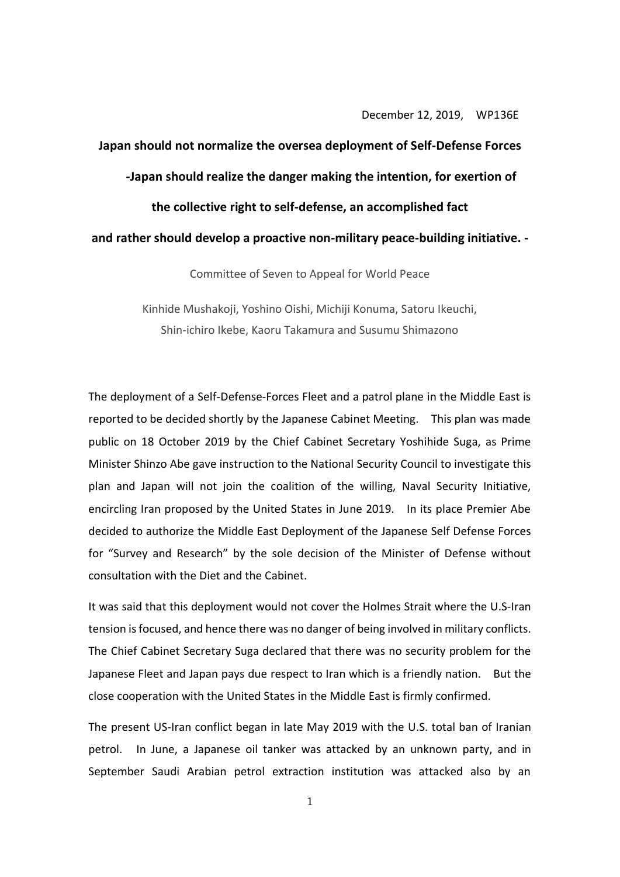December 12, 2019, WP136E

## **Japan should not normalize the oversea deployment of Self-Defense Forces -Japan should realize the danger making the intention, for exertion of the collective right to self-defense, an accomplished fact and rather should develop a proactive non-military peace-building initiative. -**

Committee of Seven to Appeal for World Peace

Kinhide Mushakoji, Yoshino Oishi, Michiji Konuma, Satoru Ikeuchi, Shin-ichiro Ikebe, Kaoru Takamura and Susumu Shimazono

The deployment of a Self-Defense-Forces Fleet and a patrol plane in the Middle East is reported to be decided shortly by the Japanese Cabinet Meeting. This plan was made public on 18 October 2019 by the Chief Cabinet Secretary Yoshihide Suga, as Prime Minister Shinzo Abe gave instruction to the National Security Council to investigate this plan and Japan will not join the coalition of the willing, Naval Security Initiative, encircling Iran proposed by the United States in June 2019. In its place Premier Abe decided to authorize the Middle East Deployment of the Japanese Self Defense Forces for "Survey and Research" by the sole decision of the Minister of Defense without consultation with the Diet and the Cabinet.

It was said that this deployment would not cover the Holmes Strait where the U.S-Iran tension is focused, and hence there was no danger of being involved in military conflicts. The Chief Cabinet Secretary Suga declared that there was no security problem for the Japanese Fleet and Japan pays due respect to Iran which is a friendly nation. But the close cooperation with the United States in the Middle East is firmly confirmed.

The present US-Iran conflict began in late May 2019 with the U.S. total ban of Iranian petrol. In June, a Japanese oil tanker was attacked by an unknown party, and in September Saudi Arabian petrol extraction institution was attacked also by an